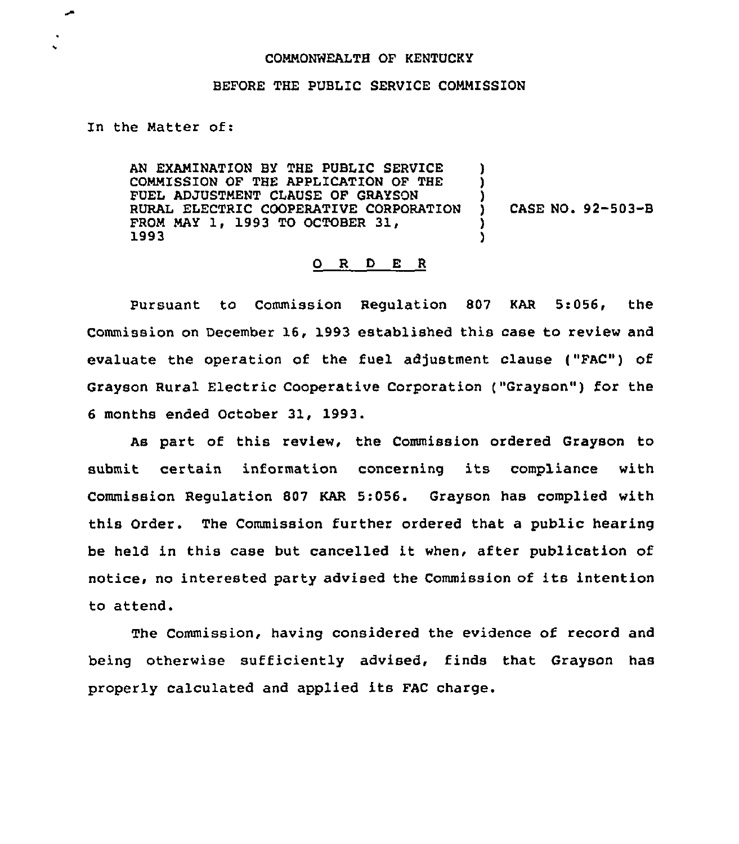## COMMONWEALTH OF KENTUCKY

## BEFORE THE PUBLIC SERVICE COMMISSION

## In the Matter of:

AN EXAMINATION BY THE PUBLIC SERVICE COMMISSION OF THE APPLICATION OF THE FUEL ADJUSTMENT CLAUSE OF GRAYSON RURAL ELECTRIC COOPERATIVE CORPORATION FROM MAY 1, 1993 TO OCTOBER 31, 1993 ) )  $\lambda$ ) )

) CASE NO. 92-503-B

## 0 <sup>R</sup> <sup>D</sup> E <sup>R</sup>

Pursuant to Commission Regulation 807 KAR 5:056, the Commission on December 16, 1993 established this case to review and evaluate the operation of the fuel adjustment clause ("FAC") of Grayson Rural Electric Cooperative Corporation ("Grayson") for the <sup>6</sup> months ended October 31, 1993.

As part of this review, the Commission ordered Grayson to submit certain information concerning its compliance with Commission Regulation 807 KAR 5:056. Grayson has complied with this Order. The Commission further ordered that a public hearing be held in this case but cancelled it when, after publication of notice, no interested party advised the Commission of its intention to attend.

The Commission, having considered the evidence of record and being otherwise sufficiently advised, finds that Grayson has properly calculated and applied its FAC charge.